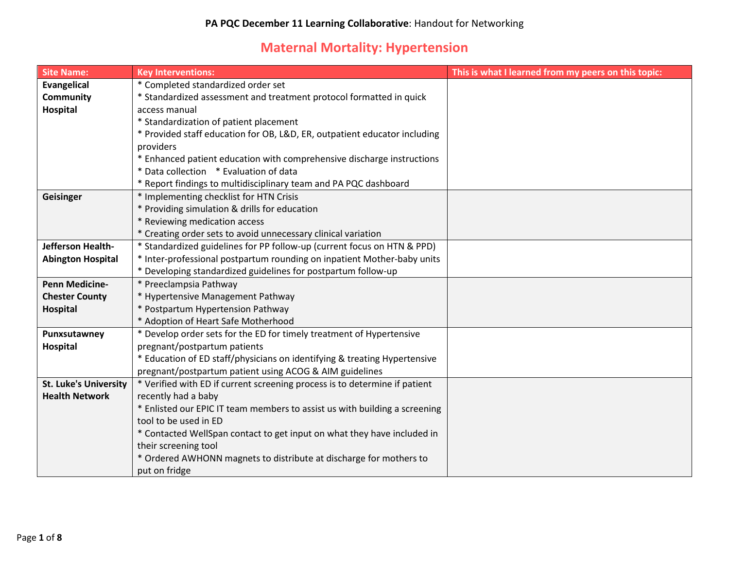## **Maternal Mortality: Hypertension**

| <b>Site Name:</b>            | <b>Key Interventions:</b>                                                  | This is what I learned from my peers on this topic: |
|------------------------------|----------------------------------------------------------------------------|-----------------------------------------------------|
| <b>Evangelical</b>           | * Completed standardized order set                                         |                                                     |
| <b>Community</b>             | * Standardized assessment and treatment protocol formatted in quick        |                                                     |
| Hospital                     | access manual                                                              |                                                     |
|                              | * Standardization of patient placement                                     |                                                     |
|                              | * Provided staff education for OB, L&D, ER, outpatient educator including  |                                                     |
|                              | providers                                                                  |                                                     |
|                              | * Enhanced patient education with comprehensive discharge instructions     |                                                     |
|                              | * Data collection * Evaluation of data                                     |                                                     |
|                              | * Report findings to multidisciplinary team and PA PQC dashboard           |                                                     |
| Geisinger                    | * Implementing checklist for HTN Crisis                                    |                                                     |
|                              | * Providing simulation & drills for education                              |                                                     |
|                              | * Reviewing medication access                                              |                                                     |
|                              | * Creating order sets to avoid unnecessary clinical variation              |                                                     |
| Jefferson Health-            | * Standardized guidelines for PP follow-up (current focus on HTN & PPD)    |                                                     |
| <b>Abington Hospital</b>     | * Inter-professional postpartum rounding on inpatient Mother-baby units    |                                                     |
|                              | * Developing standardized guidelines for postpartum follow-up              |                                                     |
| <b>Penn Medicine-</b>        | * Preeclampsia Pathway                                                     |                                                     |
| <b>Chester County</b>        | * Hypertensive Management Pathway                                          |                                                     |
| <b>Hospital</b>              | * Postpartum Hypertension Pathway                                          |                                                     |
|                              | * Adoption of Heart Safe Motherhood                                        |                                                     |
| Punxsutawney                 | * Develop order sets for the ED for timely treatment of Hypertensive       |                                                     |
| Hospital                     | pregnant/postpartum patients                                               |                                                     |
|                              | * Education of ED staff/physicians on identifying & treating Hypertensive  |                                                     |
|                              | pregnant/postpartum patient using ACOG & AIM guidelines                    |                                                     |
| <b>St. Luke's University</b> | * Verified with ED if current screening process is to determine if patient |                                                     |
| <b>Health Network</b>        | recently had a baby                                                        |                                                     |
|                              | * Enlisted our EPIC IT team members to assist us with building a screening |                                                     |
|                              | tool to be used in ED                                                      |                                                     |
|                              | * Contacted WellSpan contact to get input on what they have included in    |                                                     |
|                              | their screening tool                                                       |                                                     |
|                              | * Ordered AWHONN magnets to distribute at discharge for mothers to         |                                                     |
|                              | put on fridge                                                              |                                                     |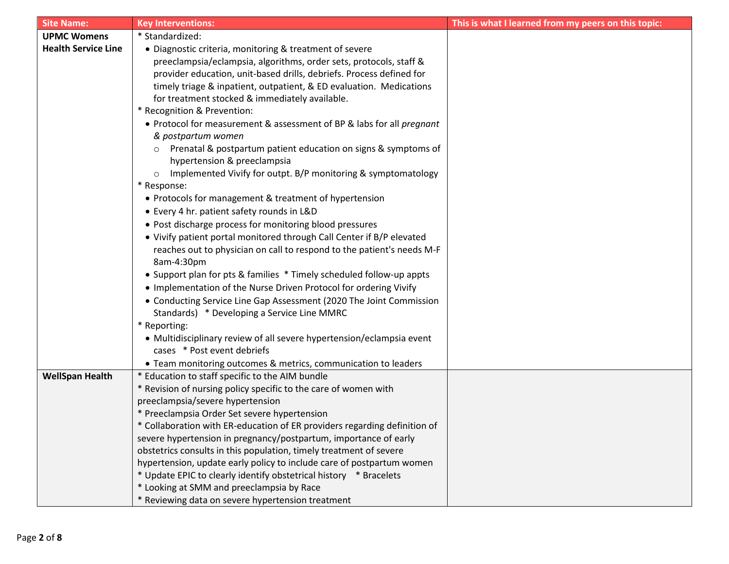| <b>Site Name:</b>          | <b>Key Interventions:</b>                                                                                          | This is what I learned from my peers on this topic: |
|----------------------------|--------------------------------------------------------------------------------------------------------------------|-----------------------------------------------------|
| <b>UPMC Womens</b>         | * Standardized:                                                                                                    |                                                     |
| <b>Health Service Line</b> | • Diagnostic criteria, monitoring & treatment of severe                                                            |                                                     |
|                            | preeclampsia/eclampsia, algorithms, order sets, protocols, staff &                                                 |                                                     |
|                            | provider education, unit-based drills, debriefs. Process defined for                                               |                                                     |
|                            | timely triage & inpatient, outpatient, & ED evaluation. Medications                                                |                                                     |
|                            | for treatment stocked & immediately available.                                                                     |                                                     |
|                            | * Recognition & Prevention:                                                                                        |                                                     |
|                            | • Protocol for measurement & assessment of BP & labs for all pregnant                                              |                                                     |
|                            | & postpartum women                                                                                                 |                                                     |
|                            | Prenatal & postpartum patient education on signs & symptoms of<br>$\circ$                                          |                                                     |
|                            | hypertension & preeclampsia                                                                                        |                                                     |
|                            | Implemented Vivify for outpt. B/P monitoring & symptomatology<br>$\circ$                                           |                                                     |
|                            | * Response:                                                                                                        |                                                     |
|                            | • Protocols for management & treatment of hypertension                                                             |                                                     |
|                            | • Every 4 hr. patient safety rounds in L&D                                                                         |                                                     |
|                            | • Post discharge process for monitoring blood pressures                                                            |                                                     |
|                            | • Vivify patient portal monitored through Call Center if B/P elevated                                              |                                                     |
|                            | reaches out to physician on call to respond to the patient's needs M-F                                             |                                                     |
|                            | 8am-4:30pm                                                                                                         |                                                     |
|                            | • Support plan for pts & families * Timely scheduled follow-up appts                                               |                                                     |
|                            | . Implementation of the Nurse Driven Protocol for ordering Vivify                                                  |                                                     |
|                            | • Conducting Service Line Gap Assessment (2020 The Joint Commission                                                |                                                     |
|                            | Standards) * Developing a Service Line MMRC                                                                        |                                                     |
|                            | * Reporting:                                                                                                       |                                                     |
|                            | • Multidisciplinary review of all severe hypertension/eclampsia event                                              |                                                     |
|                            | cases * Post event debriefs                                                                                        |                                                     |
|                            | • Team monitoring outcomes & metrics, communication to leaders                                                     |                                                     |
| <b>WellSpan Health</b>     | * Education to staff specific to the AIM bundle<br>* Revision of nursing policy specific to the care of women with |                                                     |
|                            | preeclampsia/severe hypertension                                                                                   |                                                     |
|                            | * Preeclampsia Order Set severe hypertension                                                                       |                                                     |
|                            | * Collaboration with ER-education of ER providers regarding definition of                                          |                                                     |
|                            | severe hypertension in pregnancy/postpartum, importance of early                                                   |                                                     |
|                            | obstetrics consults in this population, timely treatment of severe                                                 |                                                     |
|                            | hypertension, update early policy to include care of postpartum women                                              |                                                     |
|                            | * Update EPIC to clearly identify obstetrical history * Bracelets                                                  |                                                     |
|                            | * Looking at SMM and preeclampsia by Race                                                                          |                                                     |
|                            | * Reviewing data on severe hypertension treatment                                                                  |                                                     |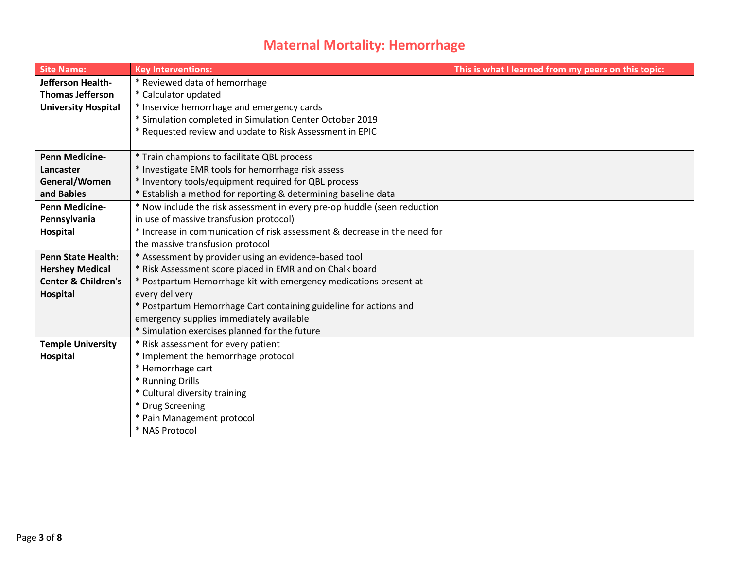## **Maternal Mortality: Hemorrhage**

| <b>Site Name:</b>              | <b>Key Interventions:</b>                                                 | This is what I learned from my peers on this topic: |
|--------------------------------|---------------------------------------------------------------------------|-----------------------------------------------------|
| Jefferson Health-              | * Reviewed data of hemorrhage                                             |                                                     |
| <b>Thomas Jefferson</b>        | * Calculator updated                                                      |                                                     |
| <b>University Hospital</b>     | * Inservice hemorrhage and emergency cards                                |                                                     |
|                                | * Simulation completed in Simulation Center October 2019                  |                                                     |
|                                | * Requested review and update to Risk Assessment in EPIC                  |                                                     |
|                                |                                                                           |                                                     |
| <b>Penn Medicine-</b>          | * Train champions to facilitate QBL process                               |                                                     |
| Lancaster                      | * Investigate EMR tools for hemorrhage risk assess                        |                                                     |
| General/Women                  | * Inventory tools/equipment required for QBL process                      |                                                     |
| and Babies                     | * Establish a method for reporting & determining baseline data            |                                                     |
| <b>Penn Medicine-</b>          | * Now include the risk assessment in every pre-op huddle (seen reduction  |                                                     |
| Pennsylvania                   | in use of massive transfusion protocol)                                   |                                                     |
| Hospital                       | * Increase in communication of risk assessment & decrease in the need for |                                                     |
|                                | the massive transfusion protocol                                          |                                                     |
| <b>Penn State Health:</b>      | * Assessment by provider using an evidence-based tool                     |                                                     |
| <b>Hershey Medical</b>         | * Risk Assessment score placed in EMR and on Chalk board                  |                                                     |
| <b>Center &amp; Children's</b> | * Postpartum Hemorrhage kit with emergency medications present at         |                                                     |
| Hospital                       | every delivery                                                            |                                                     |
|                                | * Postpartum Hemorrhage Cart containing guideline for actions and         |                                                     |
|                                | emergency supplies immediately available                                  |                                                     |
|                                | * Simulation exercises planned for the future                             |                                                     |
| <b>Temple University</b>       | * Risk assessment for every patient                                       |                                                     |
| Hospital                       | * Implement the hemorrhage protocol                                       |                                                     |
|                                | * Hemorrhage cart                                                         |                                                     |
|                                | * Running Drills                                                          |                                                     |
|                                | * Cultural diversity training                                             |                                                     |
|                                | * Drug Screening                                                          |                                                     |
|                                | * Pain Management protocol                                                |                                                     |
|                                | * NAS Protocol                                                            |                                                     |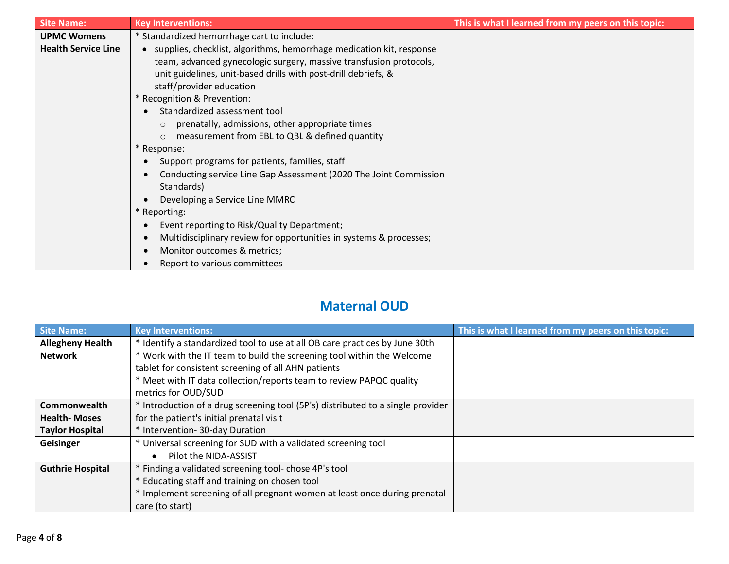| <b>Site Name:</b>          | <b>Key Interventions:</b>                                                       | This is what I learned from my peers on this topic: |
|----------------------------|---------------------------------------------------------------------------------|-----------------------------------------------------|
| <b>UPMC Womens</b>         | * Standardized hemorrhage cart to include:                                      |                                                     |
| <b>Health Service Line</b> | • supplies, checklist, algorithms, hemorrhage medication kit, response          |                                                     |
|                            | team, advanced gynecologic surgery, massive transfusion protocols,              |                                                     |
|                            | unit guidelines, unit-based drills with post-drill debriefs, &                  |                                                     |
|                            | staff/provider education                                                        |                                                     |
|                            | * Recognition & Prevention:                                                     |                                                     |
|                            | Standardized assessment tool<br>$\bullet$                                       |                                                     |
|                            | prenatally, admissions, other appropriate times                                 |                                                     |
|                            | measurement from EBL to QBL & defined quantity<br>$\Omega$                      |                                                     |
|                            | * Response:                                                                     |                                                     |
|                            | Support programs for patients, families, staff                                  |                                                     |
|                            | Conducting service Line Gap Assessment (2020 The Joint Commission<br>$\bullet$  |                                                     |
|                            | Standards)                                                                      |                                                     |
|                            | Developing a Service Line MMRC                                                  |                                                     |
|                            | * Reporting:                                                                    |                                                     |
|                            | Event reporting to Risk/Quality Department;<br>$\bullet$                        |                                                     |
|                            | Multidisciplinary review for opportunities in systems & processes;<br>$\bullet$ |                                                     |
|                            | Monitor outcomes & metrics;<br>$\bullet$                                        |                                                     |
|                            | Report to various committees                                                    |                                                     |

## **Maternal OUD**

| <b>Site Name:</b>       | <b>Key Interventions:</b>                                                       | This is what I learned from my peers on this topic: |
|-------------------------|---------------------------------------------------------------------------------|-----------------------------------------------------|
| <b>Allegheny Health</b> | * Identify a standardized tool to use at all OB care practices by June 30th     |                                                     |
| <b>Network</b>          | * Work with the IT team to build the screening tool within the Welcome          |                                                     |
|                         | tablet for consistent screening of all AHN patients                             |                                                     |
|                         | * Meet with IT data collection/reports team to review PAPQC quality             |                                                     |
|                         | metrics for OUD/SUD                                                             |                                                     |
| Commonwealth            | * Introduction of a drug screening tool (5P's) distributed to a single provider |                                                     |
| <b>Health-Moses</b>     | for the patient's initial prenatal visit                                        |                                                     |
| <b>Taylor Hospital</b>  | * Intervention- 30-day Duration                                                 |                                                     |
| Geisinger               | * Universal screening for SUD with a validated screening tool                   |                                                     |
|                         | Pilot the NIDA-ASSIST                                                           |                                                     |
| <b>Guthrie Hospital</b> | * Finding a validated screening tool- chose 4P's tool                           |                                                     |
|                         | * Educating staff and training on chosen tool                                   |                                                     |
|                         | * Implement screening of all pregnant women at least once during prenatal       |                                                     |
|                         | care (to start)                                                                 |                                                     |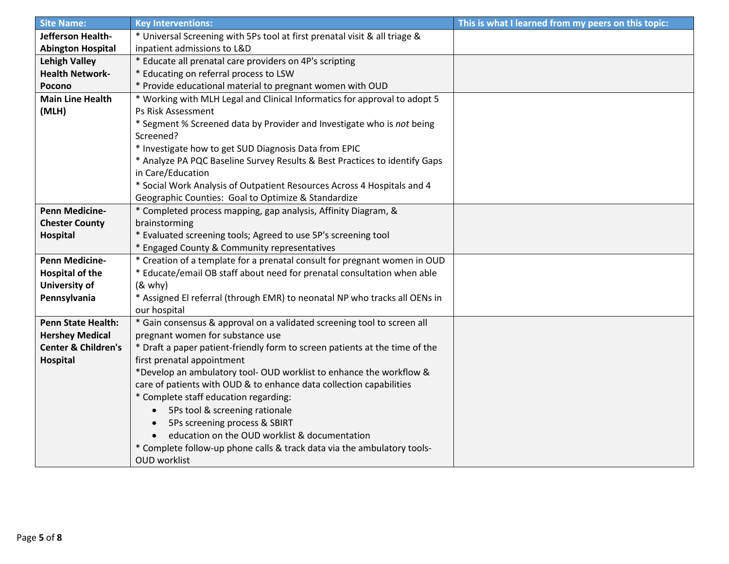| <b>Site Name:</b>              | <b>Key Interventions:</b>                                                   | This is what I learned from my peers on this topic: |
|--------------------------------|-----------------------------------------------------------------------------|-----------------------------------------------------|
| Jefferson Health-              | * Universal Screening with 5Ps tool at first prenatal visit & all triage &  |                                                     |
| <b>Abington Hospital</b>       | inpatient admissions to L&D                                                 |                                                     |
| <b>Lehigh Valley</b>           | * Educate all prenatal care providers on 4P's scripting                     |                                                     |
| <b>Health Network-</b>         | * Educating on referral process to LSW                                      |                                                     |
| Pocono                         | * Provide educational material to pregnant women with OUD                   |                                                     |
| <b>Main Line Health</b>        | * Working with MLH Legal and Clinical Informatics for approval to adopt 5   |                                                     |
| (MLH)                          | Ps Risk Assessment                                                          |                                                     |
|                                | * Segment % Screened data by Provider and Investigate who is not being      |                                                     |
|                                | Screened?                                                                   |                                                     |
|                                | * Investigate how to get SUD Diagnosis Data from EPIC                       |                                                     |
|                                | * Analyze PA PQC Baseline Survey Results & Best Practices to identify Gaps  |                                                     |
|                                | in Care/Education                                                           |                                                     |
|                                | * Social Work Analysis of Outpatient Resources Across 4 Hospitals and 4     |                                                     |
|                                | Geographic Counties: Goal to Optimize & Standardize                         |                                                     |
| <b>Penn Medicine-</b>          | * Completed process mapping, gap analysis, Affinity Diagram, &              |                                                     |
| <b>Chester County</b>          | brainstorming                                                               |                                                     |
| Hospital                       | * Evaluated screening tools; Agreed to use 5P's screening tool              |                                                     |
|                                | * Engaged County & Community representatives                                |                                                     |
| <b>Penn Medicine-</b>          | * Creation of a template for a prenatal consult for pregnant women in OUD   |                                                     |
| <b>Hospital of the</b>         | * Educate/email OB staff about need for prenatal consultation when able     |                                                     |
| University of                  | $(8$ why)                                                                   |                                                     |
| Pennsylvania                   | * Assigned El referral (through EMR) to neonatal NP who tracks all OENs in  |                                                     |
|                                | our hospital                                                                |                                                     |
| <b>Penn State Health:</b>      | * Gain consensus & approval on a validated screening tool to screen all     |                                                     |
| <b>Hershey Medical</b>         | pregnant women for substance use                                            |                                                     |
| <b>Center &amp; Children's</b> | * Draft a paper patient-friendly form to screen patients at the time of the |                                                     |
| Hospital                       | first prenatal appointment                                                  |                                                     |
|                                | *Develop an ambulatory tool- OUD worklist to enhance the workflow &         |                                                     |
|                                | care of patients with OUD & to enhance data collection capabilities         |                                                     |
|                                | * Complete staff education regarding:                                       |                                                     |
|                                | 5Ps tool & screening rationale<br>$\bullet$                                 |                                                     |
|                                | 5Ps screening process & SBIRT<br>$\bullet$                                  |                                                     |
|                                | education on the OUD worklist & documentation                               |                                                     |
|                                | * Complete follow-up phone calls & track data via the ambulatory tools-     |                                                     |
|                                | <b>OUD</b> worklist                                                         |                                                     |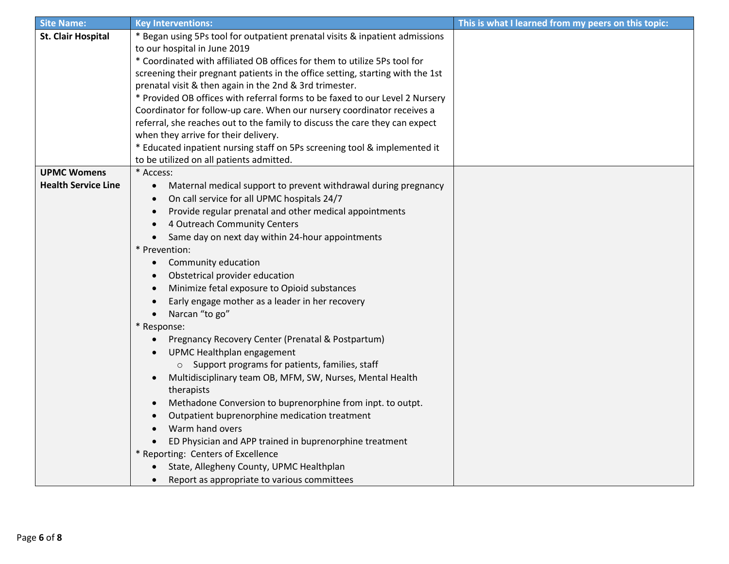| <b>Site Name:</b>          | <b>Key Interventions:</b>                                                      | This is what I learned from my peers on this topic: |
|----------------------------|--------------------------------------------------------------------------------|-----------------------------------------------------|
| <b>St. Clair Hospital</b>  | * Began using 5Ps tool for outpatient prenatal visits & inpatient admissions   |                                                     |
|                            | to our hospital in June 2019                                                   |                                                     |
|                            | * Coordinated with affiliated OB offices for them to utilize 5Ps tool for      |                                                     |
|                            | screening their pregnant patients in the office setting, starting with the 1st |                                                     |
|                            | prenatal visit & then again in the 2nd & 3rd trimester.                        |                                                     |
|                            | * Provided OB offices with referral forms to be faxed to our Level 2 Nursery   |                                                     |
|                            | Coordinator for follow-up care. When our nursery coordinator receives a        |                                                     |
|                            | referral, she reaches out to the family to discuss the care they can expect    |                                                     |
|                            | when they arrive for their delivery.                                           |                                                     |
|                            | * Educated inpatient nursing staff on 5Ps screening tool & implemented it      |                                                     |
|                            | to be utilized on all patients admitted.                                       |                                                     |
| <b>UPMC Womens</b>         | * Access:                                                                      |                                                     |
| <b>Health Service Line</b> | Maternal medical support to prevent withdrawal during pregnancy<br>$\bullet$   |                                                     |
|                            | On call service for all UPMC hospitals 24/7<br>$\bullet$                       |                                                     |
|                            | Provide regular prenatal and other medical appointments<br>$\bullet$           |                                                     |
|                            | 4 Outreach Community Centers                                                   |                                                     |
|                            | Same day on next day within 24-hour appointments<br>$\bullet$                  |                                                     |
|                            | * Prevention:                                                                  |                                                     |
|                            | Community education<br>$\bullet$                                               |                                                     |
|                            | Obstetrical provider education<br>$\bullet$                                    |                                                     |
|                            | Minimize fetal exposure to Opioid substances<br>$\bullet$                      |                                                     |
|                            | Early engage mother as a leader in her recovery<br>$\bullet$                   |                                                     |
|                            | Narcan "to go"<br>$\bullet$                                                    |                                                     |
|                            | * Response:                                                                    |                                                     |
|                            | Pregnancy Recovery Center (Prenatal & Postpartum)<br>$\bullet$                 |                                                     |
|                            | UPMC Healthplan engagement<br>$\bullet$                                        |                                                     |
|                            | o Support programs for patients, families, staff                               |                                                     |
|                            | Multidisciplinary team OB, MFM, SW, Nurses, Mental Health<br>$\bullet$         |                                                     |
|                            | therapists                                                                     |                                                     |
|                            | Methadone Conversion to buprenorphine from inpt. to outpt.<br>$\bullet$        |                                                     |
|                            | Outpatient buprenorphine medication treatment                                  |                                                     |
|                            | Warm hand overs<br>$\bullet$                                                   |                                                     |
|                            | ED Physician and APP trained in buprenorphine treatment                        |                                                     |
|                            | * Reporting: Centers of Excellence                                             |                                                     |
|                            | State, Allegheny County, UPMC Healthplan                                       |                                                     |
|                            | Report as appropriate to various committees<br>$\bullet$                       |                                                     |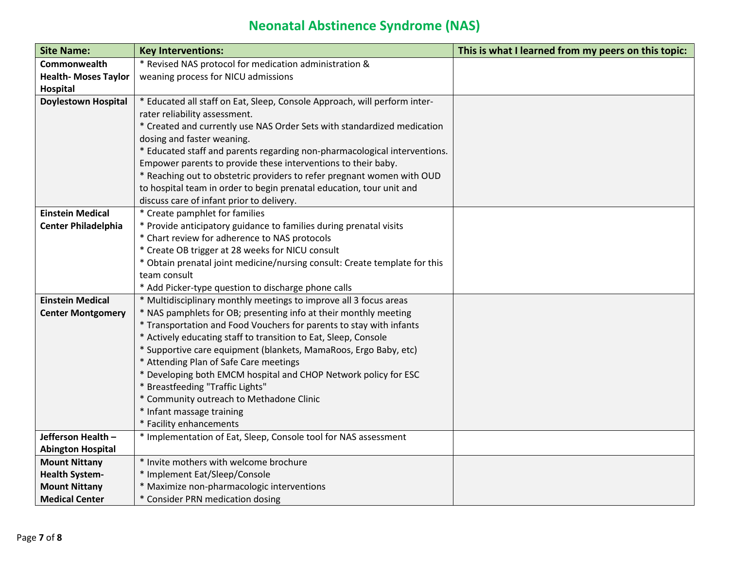## **Neonatal Abstinence Syndrome (NAS)**

| <b>Site Name:</b>          | <b>Key Interventions:</b>                                                    | This is what I learned from my peers on this topic: |
|----------------------------|------------------------------------------------------------------------------|-----------------------------------------------------|
| Commonwealth               | * Revised NAS protocol for medication administration &                       |                                                     |
| <b>Health-Moses Taylor</b> | weaning process for NICU admissions                                          |                                                     |
| <b>Hospital</b>            |                                                                              |                                                     |
| <b>Doylestown Hospital</b> | * Educated all staff on Eat, Sleep, Console Approach, will perform inter-    |                                                     |
|                            | rater reliability assessment.                                                |                                                     |
|                            | * Created and currently use NAS Order Sets with standardized medication      |                                                     |
|                            | dosing and faster weaning.                                                   |                                                     |
|                            | * Educated staff and parents regarding non-pharmacological interventions.    |                                                     |
|                            | Empower parents to provide these interventions to their baby.                |                                                     |
|                            | * Reaching out to obstetric providers to refer pregnant women with OUD       |                                                     |
|                            | to hospital team in order to begin prenatal education, tour unit and         |                                                     |
|                            | discuss care of infant prior to delivery.                                    |                                                     |
| <b>Einstein Medical</b>    | * Create pamphlet for families                                               |                                                     |
| <b>Center Philadelphia</b> | * Provide anticipatory guidance to families during prenatal visits           |                                                     |
|                            | * Chart review for adherence to NAS protocols                                |                                                     |
|                            | * Create OB trigger at 28 weeks for NICU consult                             |                                                     |
|                            | * Obtain prenatal joint medicine/nursing consult: Create template for this   |                                                     |
|                            | team consult                                                                 |                                                     |
|                            | * Add Picker-type question to discharge phone calls                          |                                                     |
| <b>Einstein Medical</b>    | * Multidisciplinary monthly meetings to improve all 3 focus areas            |                                                     |
| <b>Center Montgomery</b>   | * NAS pamphlets for OB; presenting info at their monthly meeting             |                                                     |
|                            | * Transportation and Food Vouchers for parents to stay with infants          |                                                     |
|                            | * Actively educating staff to transition to Eat, Sleep, Console              |                                                     |
|                            | * Supportive care equipment (blankets, MamaRoos, Ergo Baby, etc)             |                                                     |
|                            | * Attending Plan of Safe Care meetings                                       |                                                     |
|                            | * Developing both EMCM hospital and CHOP Network policy for ESC              |                                                     |
|                            | * Breastfeeding "Traffic Lights"<br>* Community outreach to Methadone Clinic |                                                     |
|                            | * Infant massage training                                                    |                                                     |
|                            | * Facility enhancements                                                      |                                                     |
| Jefferson Health -         | * Implementation of Eat, Sleep, Console tool for NAS assessment              |                                                     |
| <b>Abington Hospital</b>   |                                                                              |                                                     |
| <b>Mount Nittany</b>       | * Invite mothers with welcome brochure                                       |                                                     |
| <b>Health System-</b>      | * Implement Eat/Sleep/Console                                                |                                                     |
| <b>Mount Nittany</b>       | * Maximize non-pharmacologic interventions                                   |                                                     |
| <b>Medical Center</b>      | * Consider PRN medication dosing                                             |                                                     |